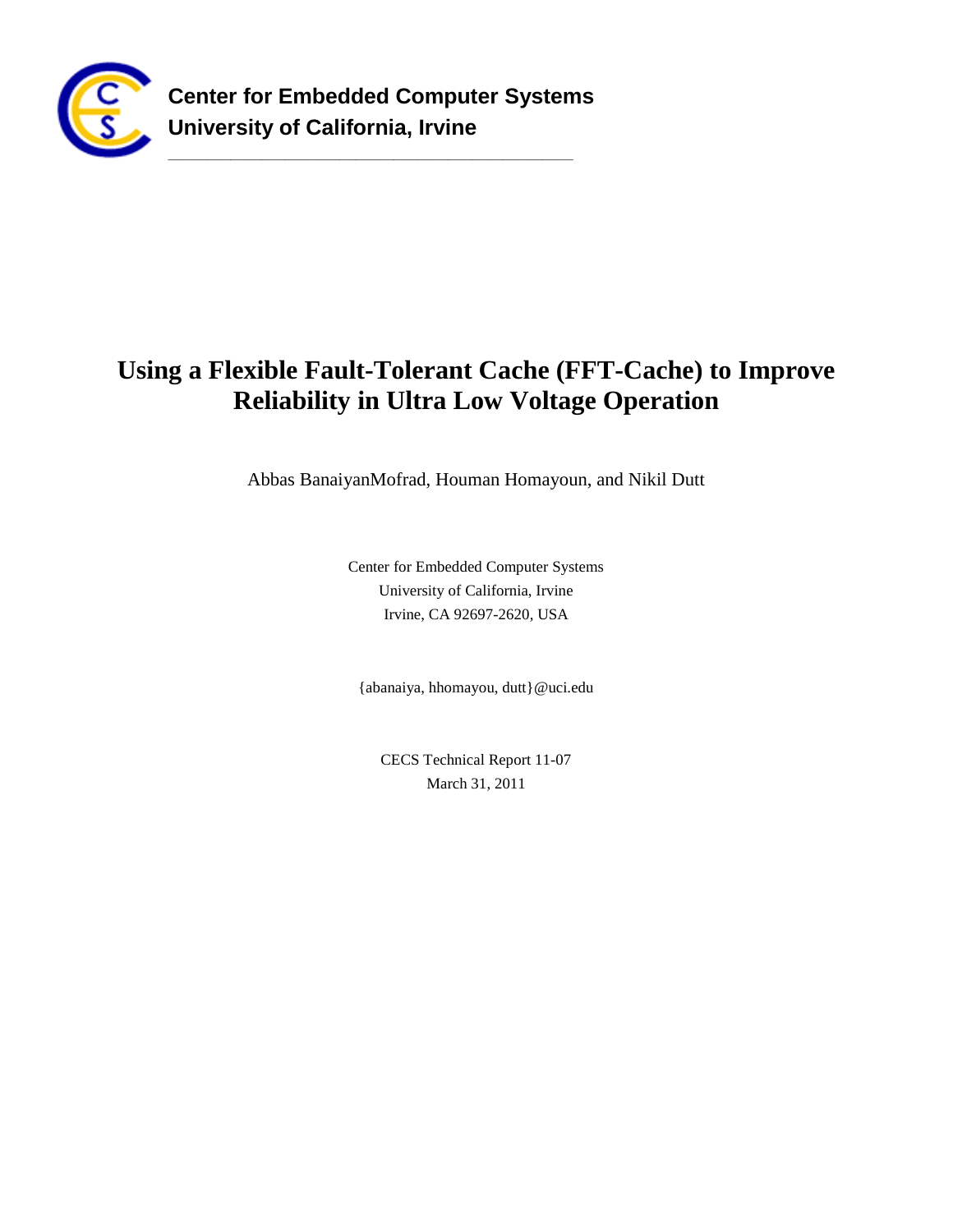

**Center for Embedded Computer Systems University of California, Irvine**

**\_\_\_\_\_\_\_\_\_\_\_\_\_\_\_\_\_\_\_\_\_\_\_\_\_\_\_\_\_\_\_\_\_\_\_\_\_\_\_\_\_\_\_\_\_\_\_\_\_\_\_\_**

# **Using a Flexible Fault-Tolerant Cache (FFT-Cache) to Improve Reliability in Ultra Low Voltage Operation**

Abbas BanaiyanMofrad, Houman Homayoun, and Nikil Dutt

Center for Embedded Computer Systems University of California, Irvine Irvine, CA 92697-2620, USA

{abanaiya, hhomayou, dutt}@uci.edu

CECS Technical Report 11-07 March 31, 2011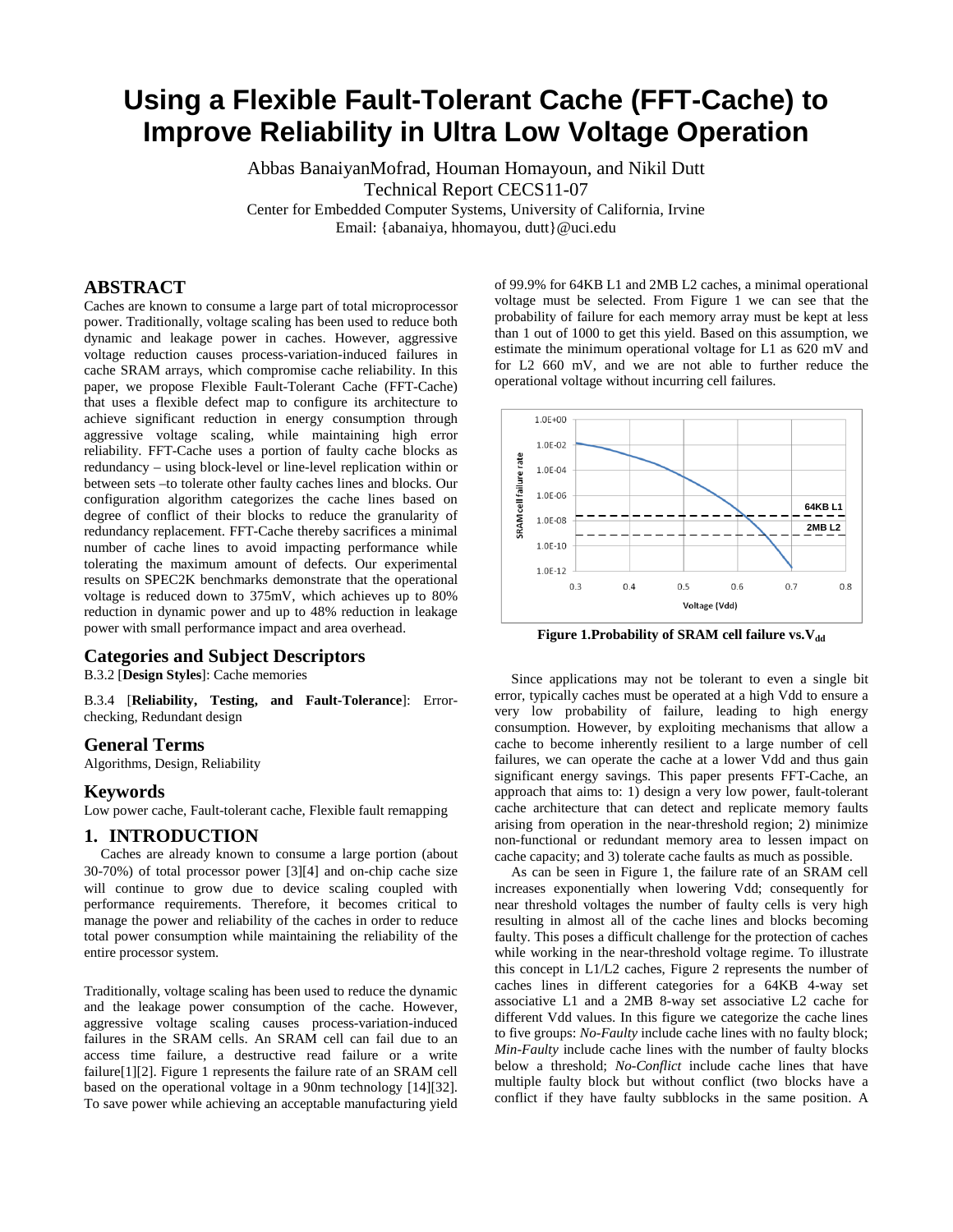# **Using a Flexible Fault-Tolerant Cache (FFT-Cache) to Improve Reliability in Ultra Low Voltage Operation**

Abbas BanaiyanMofrad, Houman Homayoun, and Nikil Dutt Technical Report CECS11-07 Center for Embedded Computer Systems, University of California, Irvine Email: {abanaiya, hhomayou, dutt}@uci.edu

# **ABSTRACT**

Caches are known to consume a large part of total microprocessor power. Traditionally, voltage scaling has been used to reduce both dynamic and leakage power in caches. However, aggressive voltage reduction causes process-variation-induced failures in cache SRAM arrays, which compromise cache reliability. In this paper, we propose Flexible Fault-Tolerant Cache (FFT-Cache) that uses a flexible defect map to configure its architecture to achieve significant reduction in energy consumption through aggressive voltage scaling, while maintaining high error reliability. FFT-Cache uses a portion of faulty cache blocks as redundancy – using block-level or line-level replication within or between sets –to tolerate other faulty caches lines and blocks. Our configuration algorithm categorizes the cache lines based on degree of conflict of their blocks to reduce the granularity of redundancy replacement. FFT-Cache thereby sacrifices a minimal number of cache lines to avoid impacting performance while tolerating the maximum amount of defects. Our experimental results on SPEC2K benchmarks demonstrate that the operational voltage is reduced down to 375mV, which achieves up to 80% reduction in dynamic power and up to 48% reduction in leakage power with small performance impact and area overhead.

## **Categories and Subject Descriptors**

B.3.2 [**Design Styles**]: Cache memories

B.3.4 [**Reliability, Testing, and Fault-Tolerance**]: Errorchecking, Redundant design

## **General Terms**

Algorithms, Design, Reliability

#### **Keywords**

Low power cache, Fault-tolerant cache, Flexible fault remapping

# **1. INTRODUCTION**

Caches are already known to consume a large portion (about 30-70%) of total processor power [\[3\]\[4\]](#page-10-0) and on-chip cache size will continue to grow due to device scaling coupled with performance requirements. Therefore, it becomes critical to manage the power and reliability of the caches in order to reduce total power consumption while maintaining the reliability of the entire processor system.

Traditionally, voltage scaling has been used to reduce the dynamic and the leakage power consumption of the cache. However, aggressive voltage scaling causes process-variation-induced failures in the SRAM cells. An SRAM cell can fail due to an access time failure, a destructive read failure or a write failur[e\[1\]\[2\].](#page-10-1) Figure 1 represents the failure rate of an SRAM cell based on the operational voltage in a 90nm technology [\[14\]\[](#page-10-2)32]. To save power while achieving an acceptable manufacturing yield

of 99.9% for 64KB L1 and 2MB L2 caches, a minimal operational voltage must be selected. From Figure 1 we can see that the probability of failure for each memory array must be kept at less than 1 out of 1000 to get this yield. Based on this assumption, we estimate the minimum operational voltage for L1 as 620 mV and for L2 660 mV, and we are not able to further reduce the operational voltage without incurring cell failures.



Figure 1.Probability of SRAM cell failure vs.V<sub>dd</sub>

Since applications may not be tolerant to even a single bit error, typically caches must be operated at a high Vdd to ensure a very low probability of failure, leading to high energy consumption. However, by exploiting mechanisms that allow a cache to become inherently resilient to a large number of cell failures, we can operate the cache at a lower Vdd and thus gain significant energy savings. This paper presents FFT-Cache, an approach that aims to: 1) design a very low power, fault-tolerant cache architecture that can detect and replicate memory faults arising from operation in the near-threshold region; 2) minimize non-functional or redundant memory area to lessen impact on cache capacity; and 3) tolerate cache faults as much as possible.

As can be seen in Figure 1, the failure rate of an SRAM cell increases exponentially when lowering Vdd; consequently for near threshold voltages the number of faulty cells is very high resulting in almost all of the cache lines and blocks becoming faulty. This poses a difficult challenge for the protection of caches while working in the near-threshold voltage regime. To illustrate this concept in L1/L2 caches, Figure 2 represents the number of caches lines in different categories for a 64KB 4-way set associative L1 and a 2MB 8-way set associative L2 cache for different Vdd values. In this figure we categorize the cache lines to five groups: *No-Faulty* include cache lines with no faulty block; *Min-Faulty* include cache lines with the number of faulty blocks below a threshold; *No-Conflict* include cache lines that have multiple faulty block but without conflict (two blocks have a conflict if they have faulty subblocks in the same position. A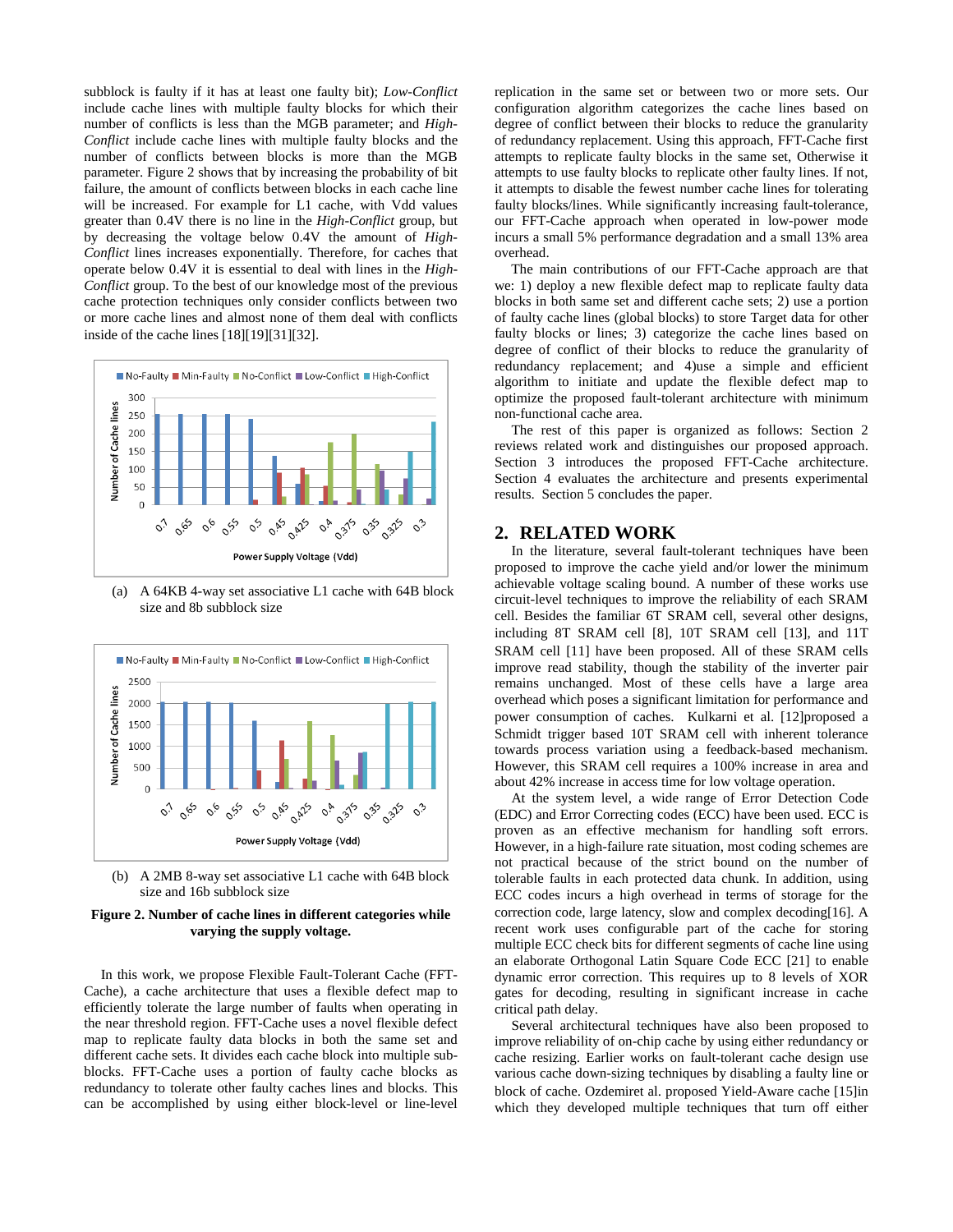subblock is faulty if it has at least one faulty bit); *Low-Conflict* include cache lines with multiple faulty blocks for which their number of conflicts is less than the MGB parameter; and *High-Conflict* include cache lines with multiple faulty blocks and the number of conflicts between blocks is more than the MGB parameter. Figure 2 shows that by increasing the probability of bit failure, the amount of conflicts between blocks in each cache line will be increased. For example for L1 cache, with Vdd values greater than 0.4V there is no line in the *High-Conflict* group, but by decreasing the voltage below 0.4V the amount of *High-Conflict* lines increases exponentially. Therefore, for caches that operate below 0.4V it is essential to deal with lines in the *High-Conflict* group. To the best of our knowledge most of the previous cache protection techniques only consider conflicts between two or more cache lines and almost none of them deal with conflicts inside of the cache line[s \[18\]\[19\]](#page-10-3)[\[31\]\[32\].](#page-11-0) 



(a) A 64KB 4-way set associative L1 cache with 64B block size and 8b subblock size



(b) A 2MB 8-way set associative L1 cache with 64B block size and 16b subblock size

## **Figure 2. Number of cache lines in different categories while varying the supply voltage.**

In this work, we propose Flexible Fault-Tolerant Cache (FFT-Cache), a cache architecture that uses a flexible defect map to efficiently tolerate the large number of faults when operating in the near threshold region. FFT-Cache uses a novel flexible defect map to replicate faulty data blocks in both the same set and different cache sets. It divides each cache block into multiple subblocks. FFT-Cache uses a portion of faulty cache blocks as redundancy to tolerate other faulty caches lines and blocks. This can be accomplished by using either block-level or line-level

replication in the same set or between two or more sets. Our configuration algorithm categorizes the cache lines based on degree of conflict between their blocks to reduce the granularity of redundancy replacement. Using this approach, FFT-Cache first attempts to replicate faulty blocks in the same set, Otherwise it attempts to use faulty blocks to replicate other faulty lines. If not, it attempts to disable the fewest number cache lines for tolerating faulty blocks/lines. While significantly increasing fault-tolerance, our FFT-Cache approach when operated in low-power mode incurs a small 5% performance degradation and a small 13% area overhead.

The main contributions of our FFT-Cache approach are that we: 1) deploy a new flexible defect map to replicate faulty data blocks in both same set and different cache sets; 2) use a portion of faulty cache lines (global blocks) to store Target data for other faulty blocks or lines; 3) categorize the cache lines based on degree of conflict of their blocks to reduce the granularity of redundancy replacement; and 4)use a simple and efficient algorithm to initiate and update the flexible defect map to optimize the proposed fault-tolerant architecture with minimum non-functional cache area.

The rest of this paper is organized as follows: Section 2 reviews related work and distinguishes our proposed approach. Section 3 introduces the proposed FFT-Cache architecture. Section 4 evaluates the architecture and presents experimental results. Section 5 concludes the paper.

### **2. RELATED WORK**

In the literature, several fault-tolerant techniques have been proposed to improve the cache yield and/or lower the minimum achievable voltage scaling bound. A number of these works use circuit-level techniques to improve the reliability of each SRAM cell. Besides the familiar 6T SRAM cell, several other designs, including 8T SRAM cell [\[8\],](#page-10-4) 10T SRAM cell [\[13\],](#page-10-5) and 11T SRAM cell [\[11\]](#page-10-6) have been proposed. All of these SRAM cells improve read stability, though the stability of the inverter pair remains unchanged. Most of these cells have a large area overhead which poses a significant limitation for performance and power consumption of caches. Kulkarni et al. [\[12\]p](#page-10-7)roposed a Schmidt trigger based 10T SRAM cell with inherent tolerance towards process variation using a feedback-based mechanism. However, this SRAM cell requires a 100% increase in area and about 42% increase in access time for low voltage operation.

At the system level, a wide range of Error Detection Code (EDC) and Error Correcting codes (ECC) have been used. ECC is proven as an effective mechanism for handling soft errors. However, in a high-failure rate situation, most coding schemes are not practical because of the strict bound on the number of tolerable faults in each protected data chunk. In addition, using ECC codes incurs a high overhead in terms of storage for the correction code, large latency, slow and complex decodin[g\[16\].](#page-10-8) A recent work uses configurable part of the cache for storing multiple ECC check bits for different segments of cache line using an elaborate Orthogonal Latin Square Code ECC [\[21\]](#page-11-1) to enable dynamic error correction. This requires up to 8 levels of XOR gates for decoding, resulting in significant increase in cache critical path delay.

Several architectural techniques have also been proposed to improve reliability of on-chip cache by using either redundancy or cache resizing. Earlier works on fault-tolerant cache design use various cache down-sizing techniques by disabling a faulty line or block of cache. Ozdemiret al. proposed Yield-Aware cache [\[15\]i](#page-10-9)n which they developed multiple techniques that turn off either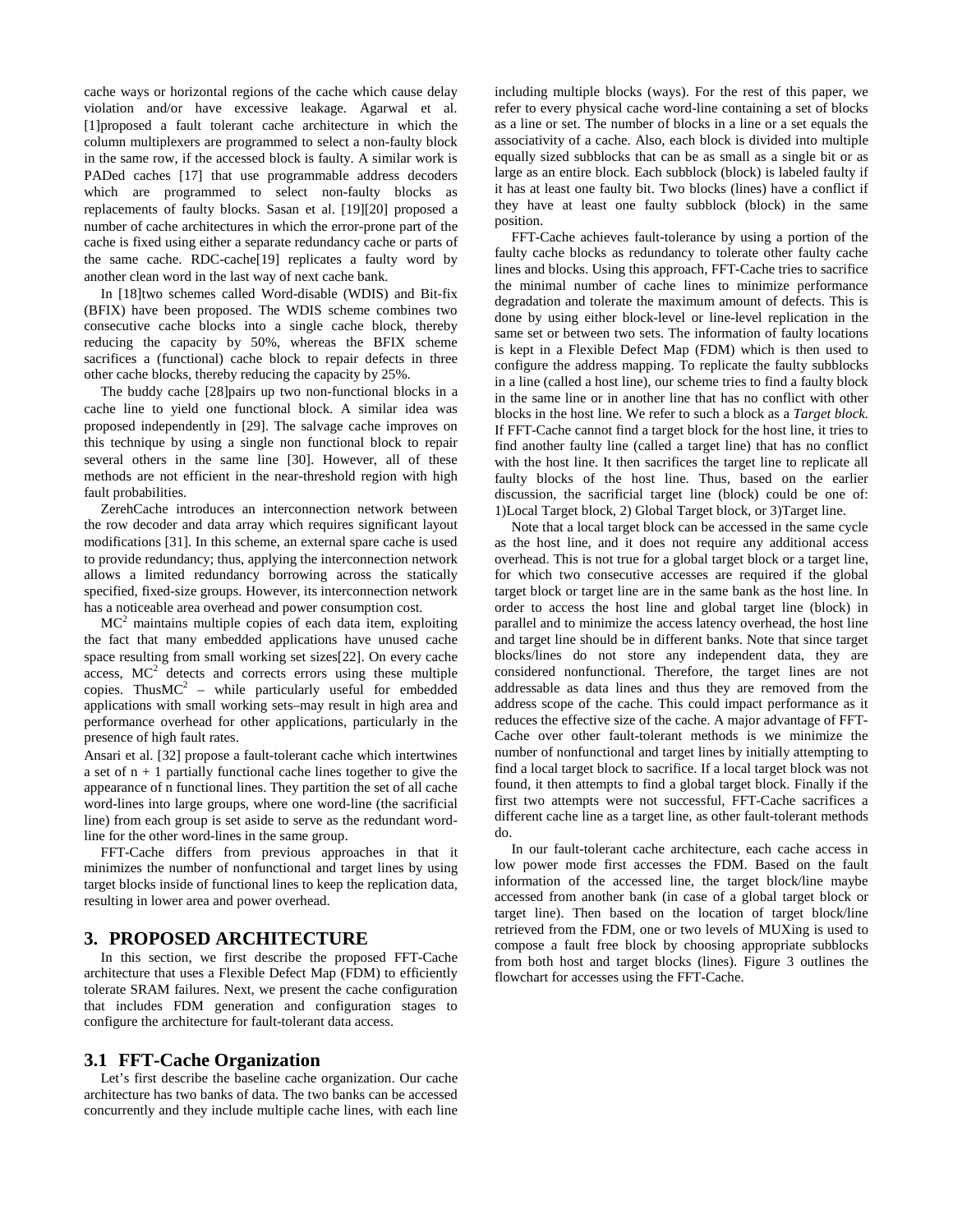cache ways or horizontal regions of the cache which cause delay violation and/or have excessive leakage. Agarwal et al. [\[1\]p](#page-10-1)roposed a fault tolerant cache architecture in which the column multiplexers are programmed to select a non-faulty block in the same row, if the accessed block is faulty. A similar work is PADed caches [\[17\]](#page-10-10) that use programmable address decoders which are programmed to select non-faulty blocks as replacements of faulty blocks. Sasan et al. [\[19\]\[20\]](#page-10-11) proposed a number of cache architectures in which the error-prone part of the cache is fixed using either a separate redundancy cache or parts of the same cache. RDC-cache[19] replicates a faulty word by another clean word in the last way of next cache bank.

In [\[18\]t](#page-10-3)wo schemes called Word-disable (WDIS) and Bit-fix (BFIX) have been proposed. The WDIS scheme combines two consecutive cache blocks into a single cache block, thereby reducing the capacity by 50%, whereas the BFIX scheme sacrifices a (functional) cache block to repair defects in three other cache blocks, thereby reducing the capacity by 25%.

The buddy cache [\[28\]p](#page-11-2)airs up two non-functional blocks in a cache line to yield one functional block. A similar idea was proposed independently in [\[29\].](#page-11-3) The salvage cache improves on this technique by using a single non functional block to repair several others in the same line [30]. However, all of these methods are not efficient in the near-threshold region with high fault probabilities.

ZerehCache introduces an interconnection network between the row decoder and data array which requires significant layout modifications [31]. In this scheme, an external spare cache is used to provide redundancy; thus, applying the interconnection network allows a limited redundancy borrowing across the statically specified, fixed-size groups. However, its interconnection network has a noticeable area overhead and power consumption cost.

MC<sup>2</sup> maintains multiple copies of each data item, exploiting the fact that many embedded applications have unused cache space resulting from small working set sizes[22]. On every cache access,  $MC^2$  detects and corrects errors using these multiple copies. ThusM $C^2$  – while particularly useful for embedded applications with small working sets–may result in high area and performance overhead for other applications, particularly in the presence of high fault rates.

Ansari et al. [\[32\]](#page-11-4) propose a fault-tolerant cache which intertwines a set of  $n + 1$  partially functional cache lines together to give the appearance of n functional lines. They partition the set of all cache word-lines into large groups, where one word-line (the sacrificial line) from each group is set aside to serve as the redundant wordline for the other word-lines in the same group.

FFT-Cache differs from previous approaches in that it minimizes the number of nonfunctional and target lines by using target blocks inside of functional lines to keep the replication data, resulting in lower area and power overhead.

## **3. PROPOSED ARCHITECTURE**

In this section, we first describe the proposed FFT-Cache architecture that uses a Flexible Defect Map (FDM) to efficiently tolerate SRAM failures. Next, we present the cache configuration that includes FDM generation and configuration stages to configure the architecture for fault-tolerant data access.

## **3.1 FFT-Cache Organization**

Let's first describe the baseline cache organization. Our cache architecture has two banks of data. The two banks can be accessed concurrently and they include multiple cache lines, with each line

including multiple blocks (ways). For the rest of this paper, we refer to every physical cache word-line containing a set of blocks as a line or set. The number of blocks in a line or a set equals the associativity of a cache. Also, each block is divided into multiple equally sized subblocks that can be as small as a single bit or as large as an entire block. Each subblock (block) is labeled faulty if it has at least one faulty bit. Two blocks (lines) have a conflict if they have at least one faulty subblock (block) in the same position.

FFT-Cache achieves fault-tolerance by using a portion of the faulty cache blocks as redundancy to tolerate other faulty cache lines and blocks. Using this approach, FFT-Cache tries to sacrifice the minimal number of cache lines to minimize performance degradation and tolerate the maximum amount of defects. This is done by using either block-level or line-level replication in the same set or between two sets. The information of faulty locations is kept in a Flexible Defect Map (FDM) which is then used to configure the address mapping. To replicate the faulty subblocks in a line (called a host line), our scheme tries to find a faulty block in the same line or in another line that has no conflict with other blocks in the host line. We refer to such a block as a *Target block*. If FFT-Cache cannot find a target block for the host line, it tries to find another faulty line (called a target line) that has no conflict with the host line. It then sacrifices the target line to replicate all faulty blocks of the host line. Thus, based on the earlier discussion, the sacrificial target line (block) could be one of: 1)Local Target block, 2) Global Target block, or 3)Target line.

Note that a local target block can be accessed in the same cycle as the host line, and it does not require any additional access overhead. This is not true for a global target block or a target line, for which two consecutive accesses are required if the global target block or target line are in the same bank as the host line. In order to access the host line and global target line (block) in parallel and to minimize the access latency overhead, the host line and target line should be in different banks. Note that since target blocks/lines do not store any independent data, they are considered nonfunctional. Therefore, the target lines are not addressable as data lines and thus they are removed from the address scope of the cache. This could impact performance as it reduces the effective size of the cache. A major advantage of FFT-Cache over other fault-tolerant methods is we minimize the number of nonfunctional and target lines by initially attempting to find a local target block to sacrifice. If a local target block was not found, it then attempts to find a global target block. Finally if the first two attempts were not successful, FFT-Cache sacrifices a different cache line as a target line, as other fault-tolerant methods do.

In our fault-tolerant cache architecture, each cache access in low power mode first accesses the FDM. Based on the fault information of the accessed line, the target block/line maybe accessed from another bank (in case of a global target block or target line). Then based on the location of target block/line retrieved from the FDM, one or two levels of MUXing is used to compose a fault free block by choosing appropriate subblocks from both host and target blocks (lines). Figure 3 outlines the flowchart for accesses using the FFT-Cache.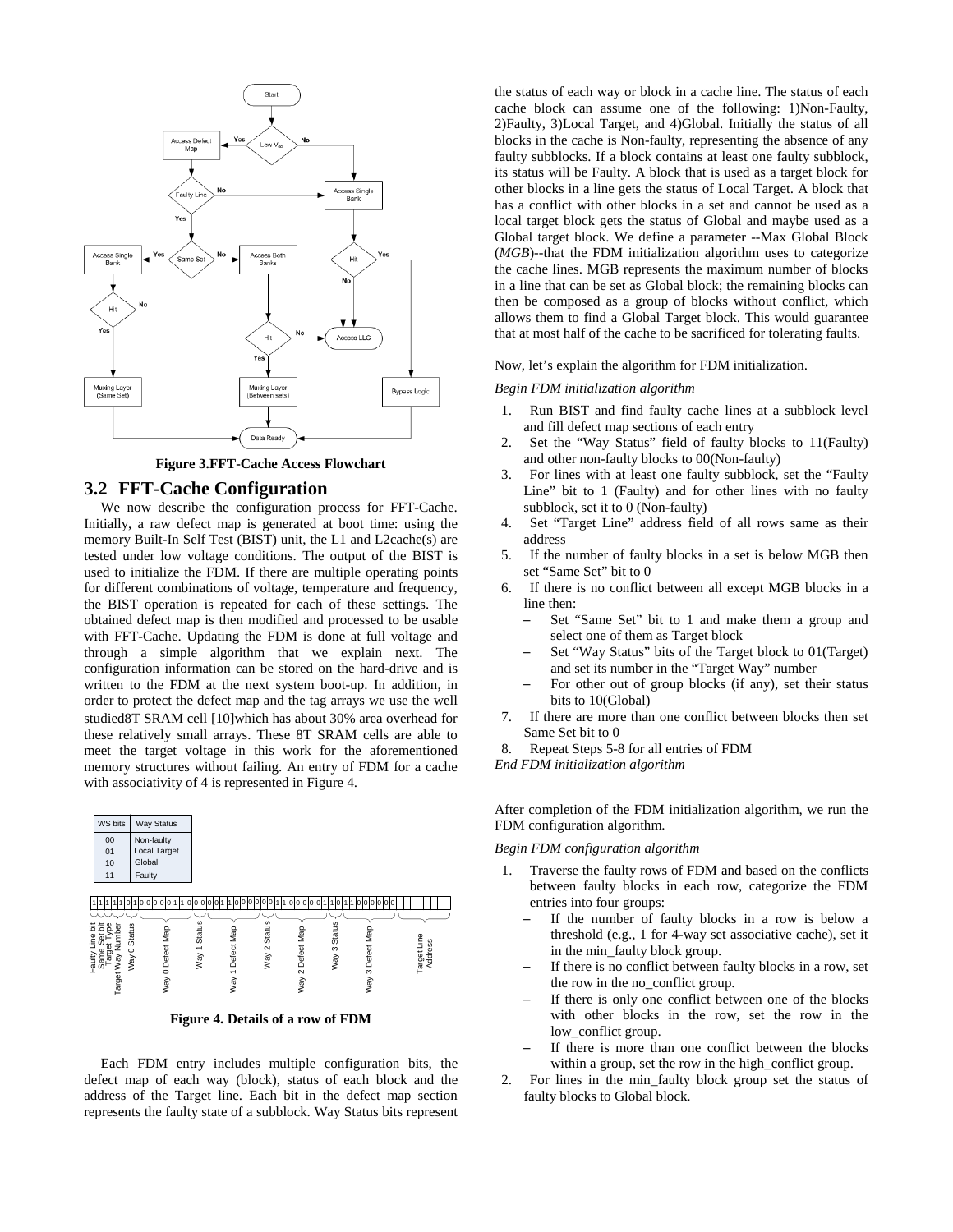

**Figure 3.FFT-Cache Access Flowchart**

#### **3.2 FFT-Cache Configuration**

We now describe the configuration process for FFT-Cache. Initially, a raw defect map is generated at boot time: using the memory Built-In Self Test (BIST) unit, the L1 and L2cache(s) are tested under low voltage conditions. The output of the BIST is used to initialize the FDM. If there are multiple operating points for different combinations of voltage, temperature and frequency, the BIST operation is repeated for each of these settings. The obtained defect map is then modified and processed to be usable with FFT-Cache. Updating the FDM is done at full voltage and through a simple algorithm that we explain next. The configuration information can be stored on the hard-drive and is written to the FDM at the next system boot-up. In addition, in order to protect the defect map and the tag arrays we use the well studied8T SRAM cel[l \[10\]w](#page-10-12)hich has about 30% area overhead for these relatively small arrays. These 8T SRAM cells are able to meet the target voltage in this work for the aforementioned memory structures without failing. An entry of FDM for a cache with associativity of 4 is represented in Figure 4.

| <b>WS bits</b> | <b>Way Status</b>   |
|----------------|---------------------|
| 0 <sup>0</sup> | Non-faulty          |
| 01             | <b>Local Target</b> |
| 10             | Global              |
| 11             | Faulty              |

|                                |                     |                                       |        |                       |                   |           | 000000  |                   |
|--------------------------------|---------------------|---------------------------------------|--------|-----------------------|-------------------|-----------|---------|-------------------|
| s<br>$\circ$<br>Sta<br>$\circ$ | Map<br>ã            | $\overline{\phantom{a}}$<br>S<br>Stat | ₫<br>ō | s<br>ā<br>Ó<br>$\sim$ | ᢛ<br>ಕ<br>ō       | Stat<br>ო | Œ.<br>× | s<br>≔<br>ù.      |
| గ<br>≳<br>ω<br>ш<br>Ō<br>ౚ     | ă,<br>$\circ$<br>සි | ಹ                                     | 눎<br>శ | శ                     | 忥<br>$\sim$<br>ćσ | æ         | ო       | ਹ<br>ත<br>Ō<br>ద్ |

**Figure 4. Details of a row of FDM**

Each FDM entry includes multiple configuration bits, the defect map of each way (block), status of each block and the address of the Target line. Each bit in the defect map section represents the faulty state of a subblock. Way Status bits represent

the status of each way or block in a cache line. The status of each cache block can assume one of the following: 1)Non-Faulty, 2)Faulty, 3)Local Target, and 4)Global. Initially the status of all blocks in the cache is Non-faulty, representing the absence of any faulty subblocks. If a block contains at least one faulty subblock, its status will be Faulty. A block that is used as a target block for other blocks in a line gets the status of Local Target. A block that has a conflict with other blocks in a set and cannot be used as a local target block gets the status of Global and maybe used as a Global target block. We define a parameter --Max Global Block (*MGB*)--that the FDM initialization algorithm uses to categorize the cache lines. MGB represents the maximum number of blocks in a line that can be set as Global block; the remaining blocks can then be composed as a group of blocks without conflict, which allows them to find a Global Target block. This would guarantee that at most half of the cache to be sacrificed for tolerating faults.

Now, let's explain the algorithm for FDM initialization.

#### *Begin FDM initialization algorithm*

- 1. Run BIST and find faulty cache lines at a subblock level and fill defect map sections of each entry
- 2. Set the "Way Status" field of faulty blocks to 11(Faulty) and other non-faulty blocks to 00(Non-faulty)
- 3. For lines with at least one faulty subblock, set the "Faulty Line" bit to 1 (Faulty) and for other lines with no faulty subblock, set it to 0 (Non-faulty)
- 4. Set "Target Line" address field of all rows same as their address
- 5. If the number of faulty blocks in a set is below MGB then set "Same Set" bit to 0
- 6. If there is no conflict between all except MGB blocks in a line then:
	- Set "Same Set" bit to 1 and make them a group and select one of them as Target block
	- Set "Way Status" bits of the Target block to 01(Target) and set its number in the "Target Way" number
	- For other out of group blocks (if any), set their status bits to 10(Global)
- 7. If there are more than one conflict between blocks then set Same Set bit to 0
- 8. Repeat Steps 5-8 for all entries of FDM

*End FDM initialization algorithm*

After completion of the FDM initialization algorithm, we run the FDM configuration algorithm.

#### *Begin FDM configuration algorithm*

- 1. Traverse the faulty rows of FDM and based on the conflicts between faulty blocks in each row, categorize the FDM entries into four groups:
	- If the number of faulty blocks in a row is below a threshold (e.g., 1 for 4-way set associative cache), set it in the min\_faulty block group.
	- If there is no conflict between faulty blocks in a row, set the row in the no\_conflict group.
	- If there is only one conflict between one of the blocks with other blocks in the row, set the row in the low\_conflict group.
	- If there is more than one conflict between the blocks within a group, set the row in the high\_conflict group.
- 2. For lines in the min\_faulty block group set the status of faulty blocks to Global block.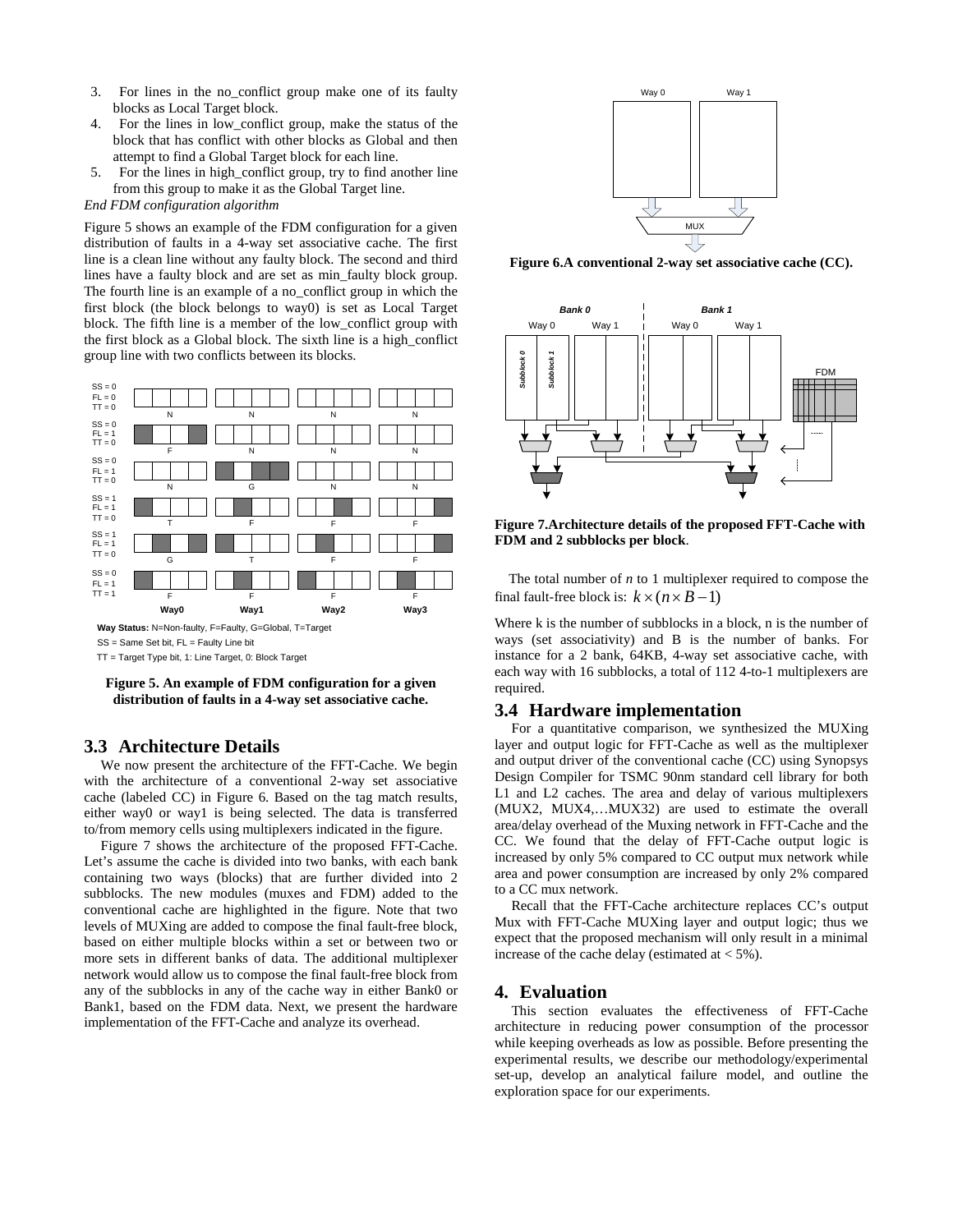- 3. For lines in the no\_conflict group make one of its faulty blocks as Local Target block.
- 4. For the lines in low\_conflict group, make the status of the block that has conflict with other blocks as Global and then attempt to find a Global Target block for each line.
- 5. For the lines in high\_conflict group, try to find another line from this group to make it as the Global Target line.

### *End FDM configuration algorithm*

[Figure 5](#page-5-0) shows an example of the FDM configuration for a given distribution of faults in a 4-way set associative cache. The first line is a clean line without any faulty block. The second and third lines have a faulty block and are set as min\_faulty block group. The fourth line is an example of a no\_conflict group in which the first block (the block belongs to way0) is set as Local Target block. The fifth line is a member of the low\_conflict group with the first block as a Global block. The sixth line is a high\_conflict group line with two conflicts between its blocks.



SS = Same Set bit, FL = Faulty Line bit TT = Target Type bit, 1: Line Target, 0: Block Target

<span id="page-5-0"></span>**Figure 5. An example of FDM configuration for a given distribution of faults in a 4-way set associative cache.**

# **3.3 Architecture Details**

We now present the architecture of the FFT-Cache. We begin with the architecture of a conventional 2-way set associative cache (labeled CC) in [Figure 6.](#page-5-1) Based on the tag match results, either way0 or way1 is being selected. The data is transferred to/from memory cells using multiplexers indicated in the figure.

[Figure 7](#page-5-2) shows the architecture of the proposed FFT-Cache. Let's assume the cache is divided into two banks, with each bank containing two ways (blocks) that are further divided into 2 subblocks. The new modules (muxes and FDM) added to the conventional cache are highlighted in the figure. Note that two levels of MUXing are added to compose the final fault-free block, based on either multiple blocks within a set or between two or more sets in different banks of data. The additional multiplexer network would allow us to compose the final fault-free block from any of the subblocks in any of the cache way in either Bank0 or Bank1, based on the FDM data. Next, we present the hardware implementation of the FFT-Cache and analyze its overhead.



<span id="page-5-1"></span>**Figure 6.A conventional 2-way set associative cache (CC).**



<span id="page-5-2"></span>**Figure 7.Architecture details of the proposed FFT-Cache with FDM and 2 subblocks per block**.

 The total number of *n* to 1 multiplexer required to compose the final fault-free block is:  $k \times (n \times B - 1)$ 

Where k is the number of subblocks in a block, n is the number of ways (set associativity) and B is the number of banks. For instance for a 2 bank, 64KB, 4-way set associative cache, with each way with 16 subblocks, a total of 112 4-to-1 multiplexers are required.

## **3.4 Hardware implementation**

For a quantitative comparison, we synthesized the MUXing layer and output logic for FFT-Cache as well as the multiplexer and output driver of the conventional cache (CC) using Synopsys Design Compiler for TSMC 90nm standard cell library for both L1 and L2 caches. The area and delay of various multiplexers (MUX2, MUX4,…MUX32) are used to estimate the overall area/delay overhead of the Muxing network in FFT-Cache and the CC. We found that the delay of FFT-Cache output logic is increased by only 5% compared to CC output mux network while area and power consumption are increased by only 2% compared to a CC mux network.

Recall that the FFT-Cache architecture replaces CC's output Mux with FFT-Cache MUXing layer and output logic; thus we expect that the proposed mechanism will only result in a minimal increase of the cache delay (estimated at  $<$  5%).

#### **4. Evaluation**

This section evaluates the effectiveness of FFT-Cache architecture in reducing power consumption of the processor while keeping overheads as low as possible. Before presenting the experimental results, we describe our methodology/experimental set-up, develop an analytical failure model, and outline the exploration space for our experiments.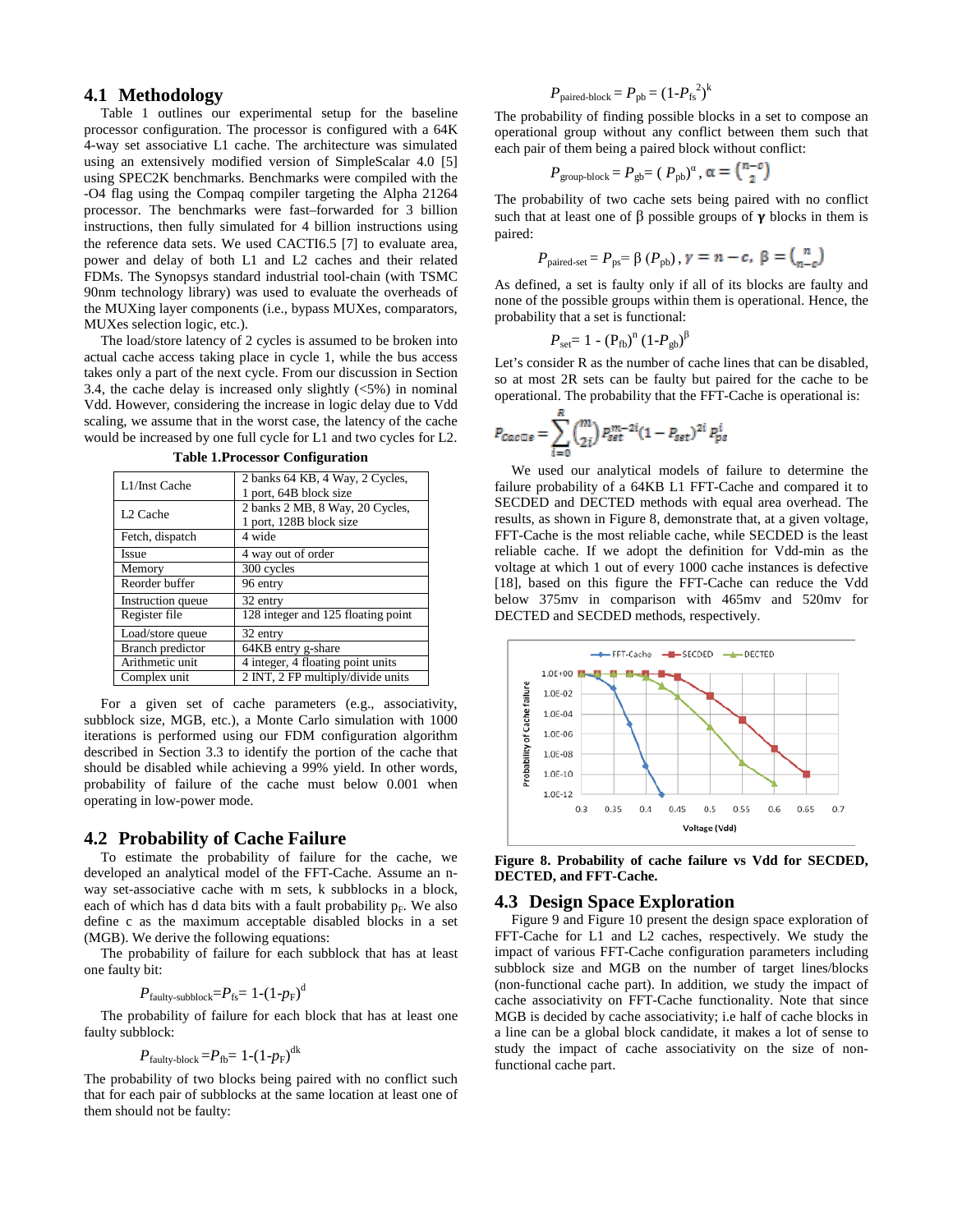## **4.1 Methodology**

Table 1 outlines our experimental setup for the baseline processor configuration. The processor is configured with a 64K 4-way set associative L1 cache. The architecture was simulated using an extensively modified version of SimpleScalar 4.0 [5] using SPEC2K benchmarks. Benchmarks were compiled with the -O4 flag using the Compaq compiler targeting the Alpha 21264 processor. The benchmarks were fast–forwarded for 3 billion instructions, then fully simulated for 4 billion instructions using the reference data sets. We used CACTI6.5 [\[7\]](#page-10-13) to evaluate area, power and delay of both L1 and L2 caches and their related FDMs. The Synopsys standard industrial tool-chain (with TSMC 90nm technology library) was used to evaluate the overheads of the MUXing layer components (i.e., bypass MUXes, comparators, MUXes selection logic, etc.).

The load/store latency of 2 cycles is assumed to be broken into actual cache access taking place in cycle 1, while the bus access takes only a part of the next cycle. From our discussion in Section 3.4, the cache delay is increased only slightly  $\langle 5\% \rangle$  in nominal Vdd. However, considering the increase in logic delay due to Vdd scaling, we assume that in the worst case, the latency of the cache would be increased by one full cycle for L1 and two cycles for L2.

**Table 1.Processor Configuration**

| L1/Inst Cache           | 2 banks 64 KB, 4 Way, 2 Cycles,    |  |  |  |  |
|-------------------------|------------------------------------|--|--|--|--|
|                         | 1 port, 64B block size             |  |  |  |  |
|                         | 2 banks 2 MB, 8 Way, 20 Cycles,    |  |  |  |  |
| L <sub>2</sub> Cache    | 1 port, 128B block size            |  |  |  |  |
| Fetch, dispatch         | 4 wide                             |  |  |  |  |
| <b>Issue</b>            | 4 way out of order                 |  |  |  |  |
| Memory                  | 300 cycles                         |  |  |  |  |
| Reorder buffer          | 96 entry                           |  |  |  |  |
| Instruction queue       | 32 entry                           |  |  |  |  |
| Register file           | 128 integer and 125 floating point |  |  |  |  |
| Load/store queue        | 32 entry                           |  |  |  |  |
| <b>Branch</b> predictor | 64KB entry g-share                 |  |  |  |  |
| Arithmetic unit         | 4 integer, 4 floating point units  |  |  |  |  |
| Complex unit            | 2 INT, 2 FP multiply/divide units  |  |  |  |  |

For a given set of cache parameters (e.g., associativity, subblock size, MGB, etc.), a Monte Carlo simulation with 1000 iterations is performed using our FDM configuration algorithm described in Section 3.3 to identify the portion of the cache that should be disabled while achieving a 99% yield. In other words, probability of failure of the cache must below 0.001 when operating in low-power mode.

# **4.2 Probability of Cache Failure**

To estimate the probability of failure for the cache, we developed an analytical model of the FFT-Cache. Assume an nway set-associative cache with m sets, k subblocks in a block, each of which has d data bits with a fault probability  $p_F$ . We also define c as the maximum acceptable disabled blocks in a set (MGB). We derive the following equations:

The probability of failure for each subblock that has at least one faulty bit:

$$
P_{\text{faulty-subblock}} = P_{\text{fs}} = 1 - (1 - p_{\text{F}})^d
$$

The probability of failure for each block that has at least one faulty subblock:

$$
P_{\text{ faulty-block}} = P_{\text{fb}} = 1 - (1 - p_{\text{F}})^{\text{dk}}
$$

The probability of two blocks being paired with no conflict such that for each pair of subblocks at the same location at least one of them should not be faulty:

$$
P_{\text{paired-block}} = P_{\text{pb}} = (1 - P_{\text{fs}}^2)^k
$$

The probability of finding possible blocks in a set to compose an operational group without any conflict between them such that each pair of them being a paired block without conflict:

$$
P_{\text{group-block}} = P_{\text{gb}} = (P_{\text{pb}})^{\alpha}, \mathbf{\alpha} = \begin{pmatrix} n - e \\ 2 \end{pmatrix}
$$

The probability of two cache sets being paired with no conflict such that at least one of  $\beta$  possible groups of  $\gamma$  blocks in them is paired:

$$
P_{\text{paired-set}} = P_{\text{ps}} = \beta \left( P_{\text{pb}} \right), \gamma = n - \varepsilon, \beta = {n \choose n - \varepsilon}
$$

As defined, a set is faulty only if all of its blocks are faulty and none of the possible groups within them is operational. Hence, the probability that a set is functional:

$$
P_{\text{set}} = 1 - (P_{\text{fb}})^n (1 - P_{\text{gb}})^{\beta}
$$

Let's consider R as the number of cache lines that can be disabled, so at most 2R sets can be faulty but paired for the cache to be operational. The probability that the FFT-Cache is operational is:

$$
P_{\text{CaeUs}} = \sum_{i=0}^{R} {m \choose 2i} P_{\text{set}}^{m-2i} (1 - P_{\text{set}})^{2i} P_{\text{ps}}^i
$$

We used our analytical models of failure to determine the failure probability of a 64KB L1 FFT-Cache and compared it to SECDED and DECTED methods with equal area overhead. The results, as shown i[n Figure 8,](#page-6-0) demonstrate that, at a given voltage, FFT-Cache is the most reliable cache, while SECDED is the least reliable cache. If we adopt the definition for Vdd-min as the voltage at which 1 out of every 1000 cache instances is defective [18], based on this figure the FFT-Cache can reduce the Vdd below 375mv in comparison with 465mv and 520mv for DECTED and SECDED methods, respectively.



<span id="page-6-0"></span>**Figure 8. Probability of cache failure vs Vdd for SECDED, DECTED, and FFT-Cache.**

## **4.3 Design Space Exploration**

[Figure 9](#page-7-0) an[d Figure 10](#page-7-1) present the design space exploration of FFT-Cache for L1 and L2 caches, respectively. We study the impact of various FFT-Cache configuration parameters including subblock size and MGB on the number of target lines/blocks (non-functional cache part). In addition, we study the impact of cache associativity on FFT-Cache functionality. Note that since MGB is decided by cache associativity; i.e half of cache blocks in a line can be a global block candidate, it makes a lot of sense to study the impact of cache associativity on the size of nonfunctional cache part.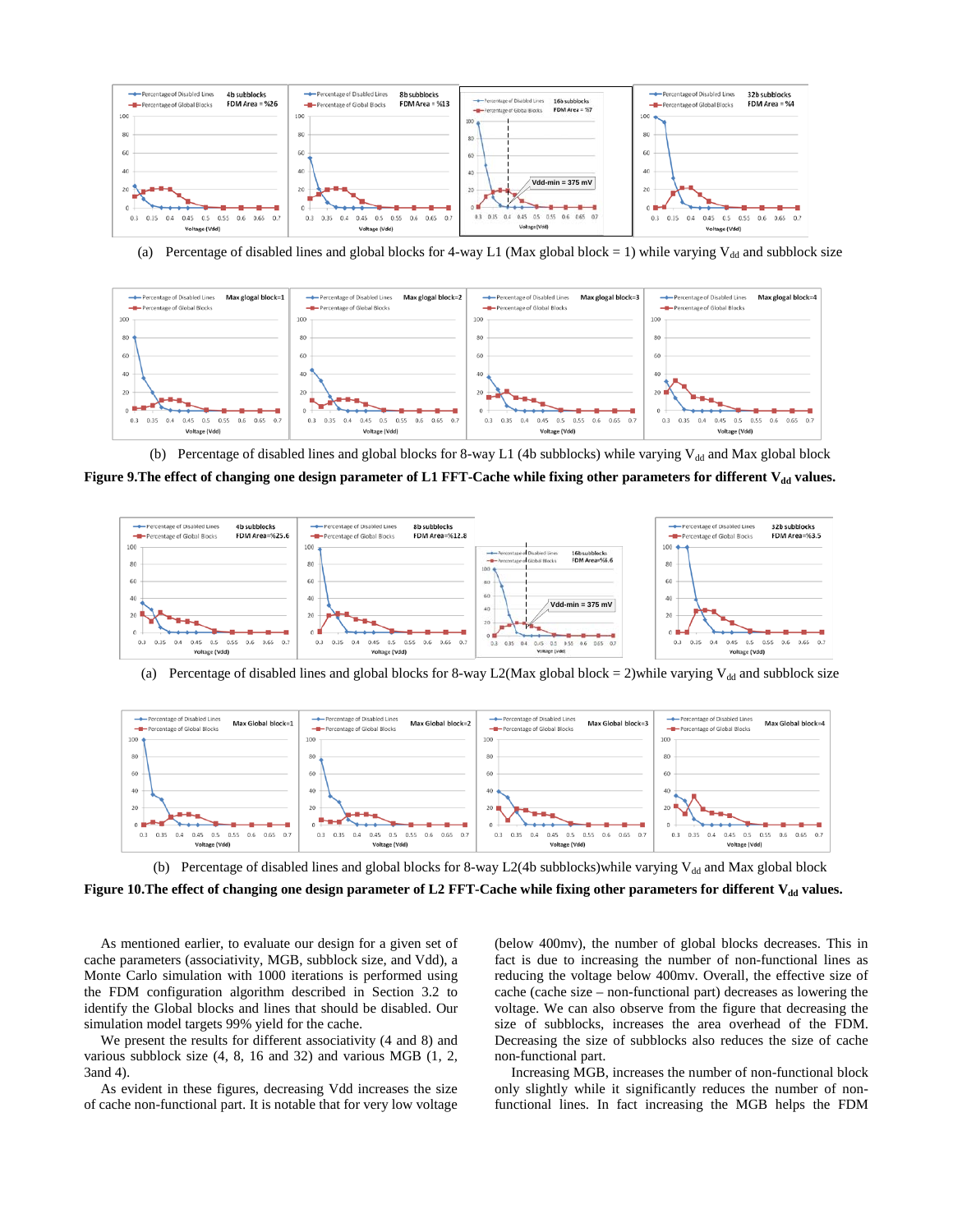

(a) Percentage of disabled lines and global blocks for 4-way L1 (Max global block = 1) while varying  $V_{dd}$  and subblock size



<span id="page-7-0"></span>(b) Percentage of disabled lines and global blocks for 8-way L1 (4b subblocks) while varying  $V_{dd}$  and Max global block Figure 9.The effect of changing one design parameter of L1 FFT-Cache while fixing other parameters for different V<sub>dd</sub> values.



(a) Percentage of disabled lines and global blocks for 8-way L2(Max global block = 2)while varying V<sub>dd</sub> and subblock size



(b) Percentage of disabled lines and global blocks for 8-way L2(4b subblocks)while varying  $V_{dd}$  and Max global block

<span id="page-7-1"></span>Figure 10. The effect of changing one design parameter of L2 FFT-Cache while fixing other parameters for different V<sub>dd</sub> values.

As mentioned earlier, to evaluate our design for a given set of cache parameters (associativity, MGB, subblock size, and Vdd), a Monte Carlo simulation with 1000 iterations is performed using the FDM configuration algorithm described in Section 3.2 to identify the Global blocks and lines that should be disabled. Our simulation model targets 99% yield for the cache.

We present the results for different associativity (4 and 8) and various subblock size (4, 8, 16 and 32) and various MGB (1, 2, 3and 4).

As evident in these figures, decreasing Vdd increases the size of cache non-functional part. It is notable that for very low voltage

(below 400mv), the number of global blocks decreases. This in fact is due to increasing the number of non-functional lines as reducing the voltage below 400mv. Overall, the effective size of cache (cache size – non-functional part) decreases as lowering the voltage. We can also observe from the figure that decreasing the size of subblocks, increases the area overhead of the FDM. Decreasing the size of subblocks also reduces the size of cache non-functional part.

Increasing MGB, increases the number of non-functional block only slightly while it significantly reduces the number of nonfunctional lines. In fact increasing the MGB helps the FDM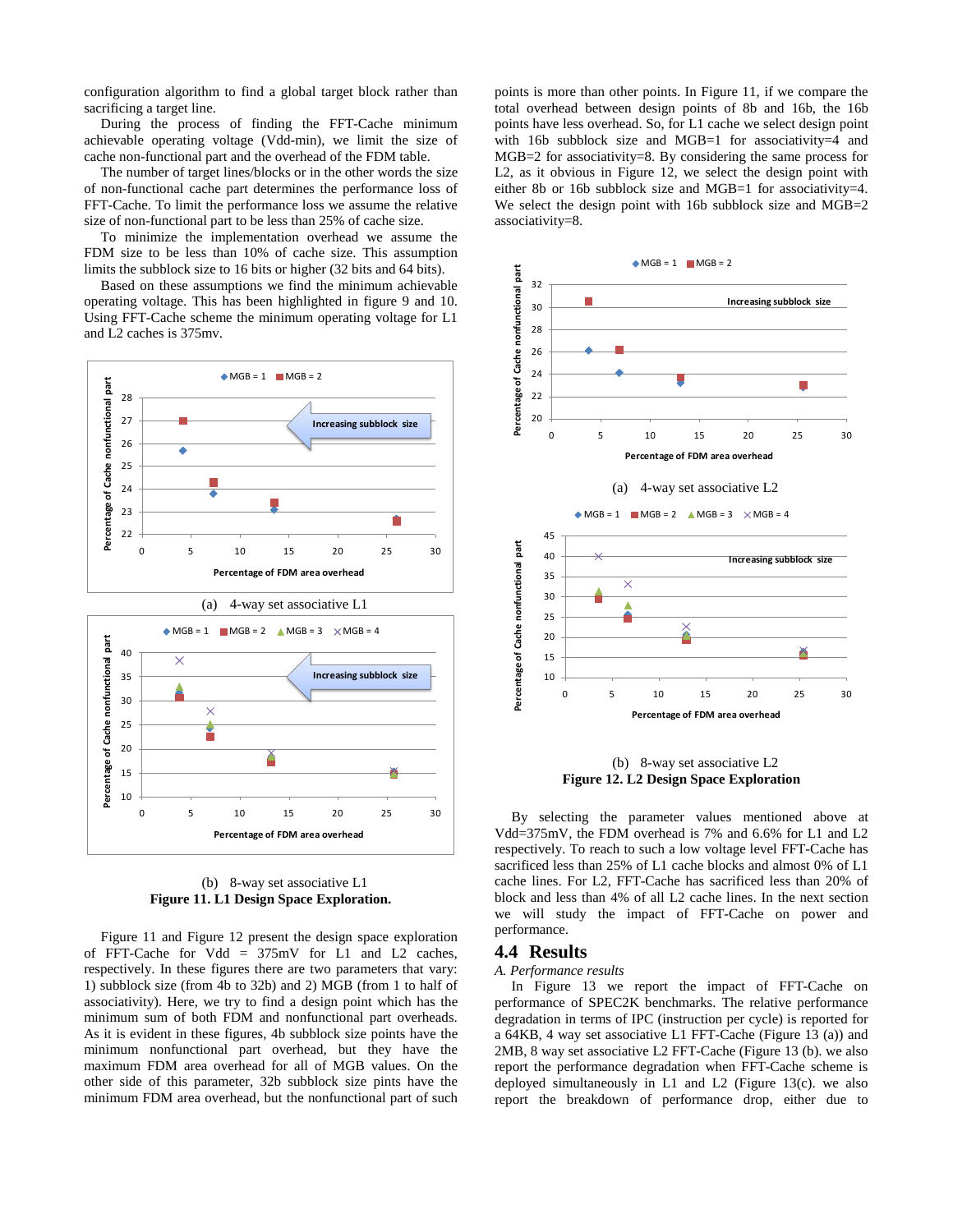configuration algorithm to find a global target block rather than sacrificing a target line.

During the process of finding the FFT-Cache minimum achievable operating voltage (Vdd-min), we limit the size of cache non-functional part and the overhead of the FDM table.

The number of target lines/blocks or in the other words the size of non-functional cache part determines the performance loss of FFT-Cache. To limit the performance loss we assume the relative size of non-functional part to be less than 25% of cache size.

To minimize the implementation overhead we assume the FDM size to be less than 10% of cache size. This assumption limits the subblock size to 16 bits or higher (32 bits and 64 bits).

Based on these assumptions we find the minimum achievable operating voltage. This has been highlighted in figure 9 and 10. Using FFT-Cache scheme the minimum operating voltage for L1 and L2 caches is 375mv.



(b) 8-way set associative L1 **Figure 11. L1 Design Space Exploration.**

<span id="page-8-0"></span>[Figure 11](#page-8-0) and [Figure 12](#page-8-1) present the design space exploration of FFT-Cache for Vdd = 375mV for L1 and L2 caches, respectively. In these figures there are two parameters that vary: 1) subblock size (from 4b to 32b) and 2) MGB (from 1 to half of associativity). Here, we try to find a design point which has the minimum sum of both FDM and nonfunctional part overheads. As it is evident in these figures, 4b subblock size points have the minimum nonfunctional part overhead, but they have the maximum FDM area overhead for all of MGB values. On the other side of this parameter, 32b subblock size pints have the minimum FDM area overhead, but the nonfunctional part of such points is more than other points. In [Figure 11,](#page-8-0) if we compare the total overhead between design points of 8b and 16b, the 16b points have less overhead. So, for L1 cache we select design point with 16b subblock size and MGB=1 for associativity=4 and MGB=2 for associativity=8. By considering the same process for L2, as it obvious in [Figure 12,](#page-8-1) we select the design point with either 8b or 16b subblock size and MGB=1 for associativity=4. We select the design point with 16b subblock size and MGB=2 associativity=8.



(b) 8-way set associative L2 **Figure 12. L2 Design Space Exploration**

<span id="page-8-1"></span>By selecting the parameter values mentioned above at Vdd=375mV, the FDM overhead is 7% and 6.6% for L1 and L2 respectively. To reach to such a low voltage level FFT-Cache has sacrificed less than 25% of L1 cache blocks and almost 0% of L1 cache lines. For L2, FFT-Cache has sacrificed less than 20% of block and less than 4% of all L2 cache lines. In the next section we will study the impact of FFT-Cache on power and performance.

#### **4.4 Results**

#### *A. Performance results*

In [Figure 13](#page-9-0) we report the impact of FFT-Cache on performance of SPEC2K benchmarks. The relative performance degradation in terms of IPC (instruction per cycle) is reported for a 64KB, 4 way set associative L1 FFT-Cache [\(Figure 13](#page-9-0) (a)) and 2MB, 8 way set associative L2 FFT-Cache [\(Figure 13](#page-9-0) (b). we also report the performance degradation when FFT-Cache scheme is deployed simultaneously in L1 and L2 [\(Figure 13\(](#page-9-0)c). we also report the breakdown of performance drop, either due to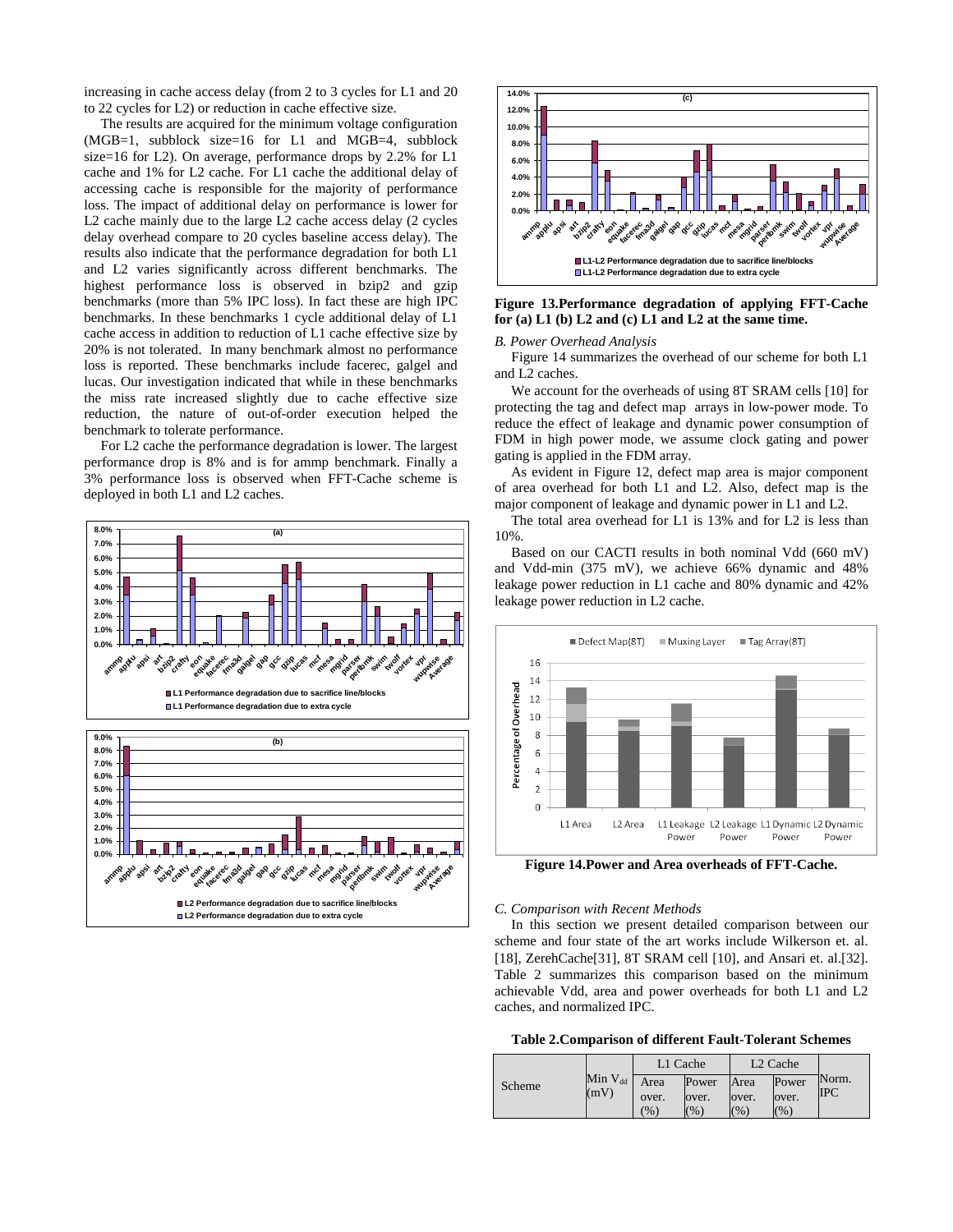increasing in cache access delay (from 2 to 3 cycles for L1 and 20 to 22 cycles for L2) or reduction in cache effective size.

The results are acquired for the minimum voltage configuration (MGB=1, subblock size=16 for L1 and MGB=4, subblock size=16 for L2). On average, performance drops by 2.2% for L1 cache and 1% for L2 cache. For L1 cache the additional delay of accessing cache is responsible for the majority of performance loss. The impact of additional delay on performance is lower for L2 cache mainly due to the large L2 cache access delay (2 cycles delay overhead compare to 20 cycles baseline access delay). The results also indicate that the performance degradation for both L1 and L2 varies significantly across different benchmarks. The highest performance loss is observed in bzip2 and gzip benchmarks (more than 5% IPC loss). In fact these are high IPC benchmarks. In these benchmarks 1 cycle additional delay of L1 cache access in addition to reduction of L1 cache effective size by 20% is not tolerated. In many benchmark almost no performance loss is reported. These benchmarks include facerec, galgel and lucas. Our investigation indicated that while in these benchmarks the miss rate increased slightly due to cache effective size reduction, the nature of out-of-order execution helped the benchmark to tolerate performance.

For L2 cache the performance degradation is lower. The largest performance drop is 8% and is for ammp benchmark. Finally a 3% performance loss is observed when FFT-Cache scheme is deployed in both L1 and L2 caches.





<span id="page-9-0"></span>**Figure 13.Performance degradation of applying FFT-Cache for (a) L1 (b) L2 and (c) L1 and L2 at the same time.**

#### *B. Power Overhead Analysis*

[Figure 14](#page-9-1) summarizes the overhead of our scheme for both L1 and L2 caches.

We account for the overheads of using 8T SRAM cells [\[10\]](#page-10-12) for protecting the tag and defect map arrays in low-power mode. To reduce the effect of leakage and dynamic power consumption of FDM in high power mode, we assume clock gating and power gating is applied in the FDM array.

As evident in Figure 12, defect map area is major component of area overhead for both L1 and L2. Also, defect map is the major component of leakage and dynamic power in L1 and L2.

The total area overhead for L1 is 13% and for L2 is less than 10%.

Based on our CACTI results in both nominal Vdd (660 mV) and Vdd-min (375 mV), we achieve 66% dynamic and 48% leakage power reduction in L1 cache and 80% dynamic and 42% leakage power reduction in L2 cache.



<span id="page-9-1"></span>**Figure 14.Power and Area overheads of FFT-Cache.**

#### *C. Comparison with Recent Methods*

In this section we present detailed comparison between our scheme and four state of the art works include Wilkerson et. al. [18], ZerehCache[31], 8T SRAM cell [10], and Ansari et. a[l.\[32\].](#page-11-4) [Table 2](#page-9-2) summarizes this comparison based on the minimum achievable Vdd, area and power overheads for both L1 and L2 caches, and normalized IPC.

#### <span id="page-9-2"></span>**Table 2.Comparison of different Fault-Tolerant Schemes**

|        |                      | L1 Cache                |               | L <sub>2</sub> Cache |               |                     |
|--------|----------------------|-------------------------|---------------|----------------------|---------------|---------------------|
| Scheme | Min $V_{dd}$<br>(mV) | Area                    | Power         | Area                 | Power         | Norm.<br><b>IPC</b> |
|        |                      | over.<br>$\frac{6}{90}$ | over.<br>(% ) | lover.<br>(96)       | over.<br>(96) |                     |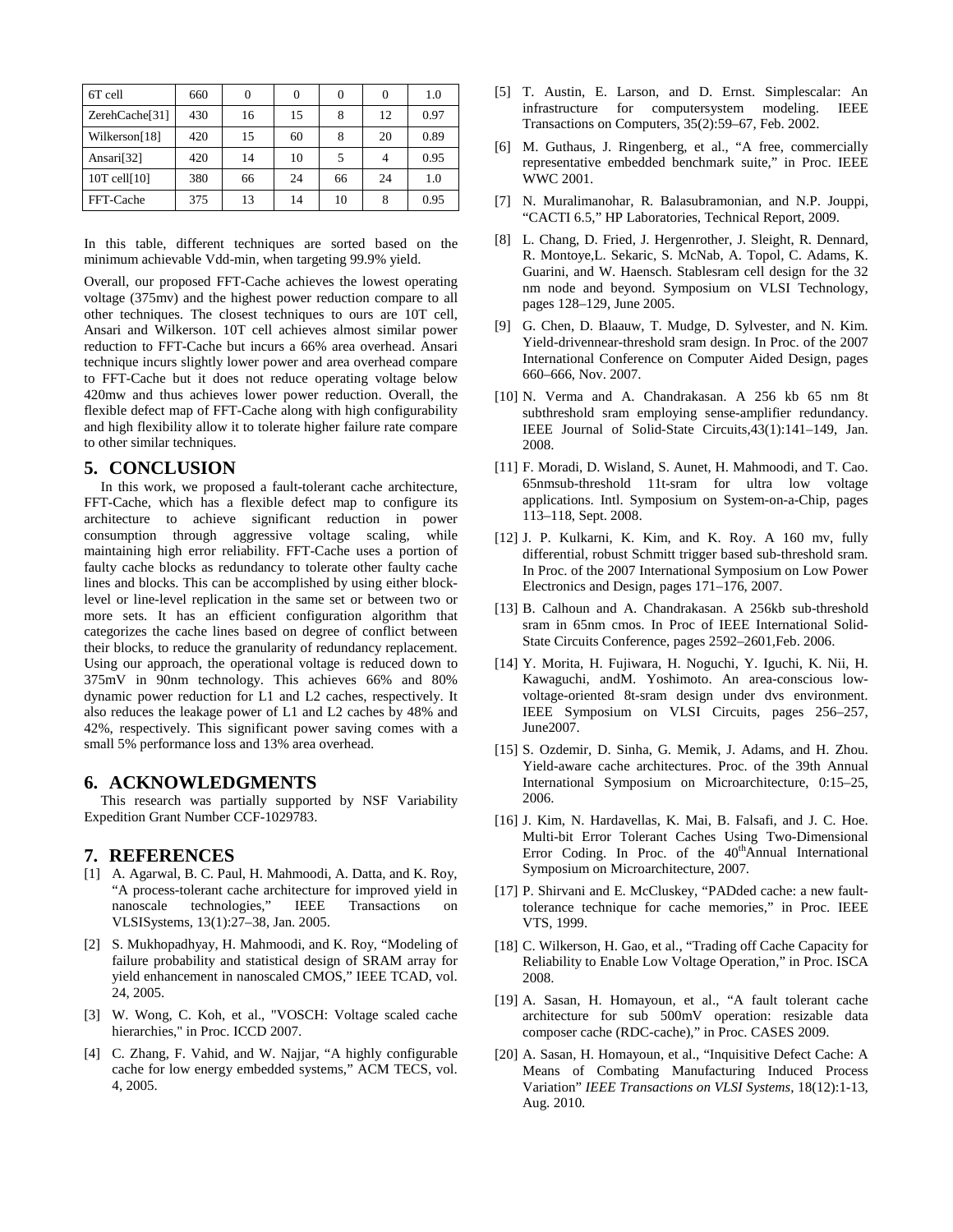| 6T cell        | 660 | 0  | 0  |    | $\theta$ | 1.0  |
|----------------|-----|----|----|----|----------|------|
| ZerehCache[31] | 430 | 16 | 15 | 8  | 12       | 0.97 |
| Wilkerson[18]  | 420 | 15 | 60 | 8  | 20       | 0.89 |
| Ansari[32]     | 420 | 14 | 10 | 5  | 4        | 0.95 |
| 10T cell[10]   | 380 | 66 | 24 | 66 | 24       | 1.0  |
| FFT-Cache      | 375 | 13 | 14 | 10 | 8        | 0.95 |

In this table, different techniques are sorted based on the minimum achievable Vdd-min, when targeting 99.9% yield.

Overall, our proposed FFT-Cache achieves the lowest operating voltage (375mv) and the highest power reduction compare to all other techniques. The closest techniques to ours are 10T cell, Ansari and Wilkerson. 10T cell achieves almost similar power reduction to FFT-Cache but incurs a 66% area overhead. Ansari technique incurs slightly lower power and area overhead compare to FFT-Cache but it does not reduce operating voltage below 420mw and thus achieves lower power reduction. Overall, the flexible defect map of FFT-Cache along with high configurability and high flexibility allow it to tolerate higher failure rate compare to other similar techniques.

## **5. CONCLUSION**

In this work, we proposed a fault-tolerant cache architecture, FFT-Cache, which has a flexible defect map to configure its architecture to achieve significant reduction in power consumption through aggressive voltage scaling, while maintaining high error reliability. FFT-Cache uses a portion of faulty cache blocks as redundancy to tolerate other faulty cache lines and blocks. This can be accomplished by using either blocklevel or line-level replication in the same set or between two or more sets. It has an efficient configuration algorithm that categorizes the cache lines based on degree of conflict between their blocks, to reduce the granularity of redundancy replacement. Using our approach, the operational voltage is reduced down to 375mV in 90nm technology. This achieves 66% and 80% dynamic power reduction for L1 and L2 caches, respectively. It also reduces the leakage power of L1 and L2 caches by 48% and 42%, respectively. This significant power saving comes with a small 5% performance loss and 13% area overhead.

## **6. ACKNOWLEDGMENTS**

This research was partially supported by NSF Variability Expedition Grant Number CCF-1029783.

## **7. REFERENCES**

- <span id="page-10-1"></span>[1] A. Agarwal, B. C. Paul, H. Mahmoodi, A. Datta, and K. Roy, "A process-tolerant cache architecture for improved yield in nanoscale technologies," IEEE Transactions on VLSISystems, 13(1):27–38, Jan. 2005.
- [2] S. Mukhopadhyay, H. Mahmoodi, and K. Roy, "Modeling of failure probability and statistical design of SRAM array for yield enhancement in nanoscaled CMOS," IEEE TCAD, vol. 24, 2005.
- <span id="page-10-0"></span>[3] W. Wong, C. Koh, et al., "VOSCH: Voltage scaled cache hierarchies," in Proc. ICCD 2007.
- [4] C. Zhang, F. Vahid, and W. Najjar, "A highly configurable cache for low energy embedded systems," ACM TECS, vol. 4, 2005.
- [5] T. Austin, E. Larson, and D. Ernst. Simplescalar: An infrastructure for computersystem modeling. IEEE Transactions on Computers, 35(2):59–67, Feb. 2002.
- [6] M. Guthaus, J. Ringenberg, et al., "A free, commercially representative embedded benchmark suite," in Proc. IEEE WWC 2001.
- <span id="page-10-13"></span>[7] N. Muralimanohar, R. Balasubramonian, and N.P. Jouppi, "CACTI 6.5," HP Laboratories, Technical Report, 2009.
- <span id="page-10-4"></span>[8] L. Chang, D. Fried, J. Hergenrother, J. Sleight, R. Dennard, R. Montoye,L. Sekaric, S. McNab, A. Topol, C. Adams, K. Guarini, and W. Haensch. Stablesram cell design for the 32 nm node and beyond. Symposium on VLSI Technology, pages 128–129, June 2005.
- [9] G. Chen, D. Blaauw, T. Mudge, D. Sylvester, and N. Kim. Yield-drivennear-threshold sram design. In Proc. of the 2007 International Conference on Computer Aided Design, pages 660–666, Nov. 2007.
- <span id="page-10-12"></span>[10] N. Verma and A. Chandrakasan. A 256 kb 65 nm 8t subthreshold sram employing sense-amplifier redundancy. IEEE Journal of Solid-State Circuits,43(1):141–149, Jan. 2008.
- <span id="page-10-6"></span>[11] F. Moradi, D. Wisland, S. Aunet, H. Mahmoodi, and T. Cao. 65nmsub-threshold 11t-sram for ultra low voltage applications. Intl. Symposium on System-on-a-Chip, pages 113–118, Sept. 2008.
- <span id="page-10-7"></span>[12] J. P. Kulkarni, K. Kim, and K. Roy. A 160 mv, fully differential, robust Schmitt trigger based sub-threshold sram. In Proc. of the 2007 International Symposium on Low Power Electronics and Design, pages 171–176, 2007.
- <span id="page-10-5"></span>[13] B. Calhoun and A. Chandrakasan. A 256kb sub-threshold sram in 65nm cmos. In Proc of IEEE International Solid-State Circuits Conference, pages 2592–2601,Feb. 2006.
- <span id="page-10-2"></span>[14] Y. Morita, H. Fujiwara, H. Noguchi, Y. Iguchi, K. Nii, H. Kawaguchi, andM. Yoshimoto. An area-conscious lowvoltage-oriented 8t-sram design under dvs environment. IEEE Symposium on VLSI Circuits, pages 256–257, June2007.
- <span id="page-10-9"></span>[15] S. Ozdemir, D. Sinha, G. Memik, J. Adams, and H. Zhou. Yield-aware cache architectures. Proc. of the 39th Annual International Symposium on Microarchitecture, 0:15–25, 2006.
- <span id="page-10-8"></span>[16] J. Kim, N. Hardavellas, K. Mai, B. Falsafi, and J. C. Hoe. Multi-bit Error Tolerant Caches Using Two-Dimensional Error Coding. In Proc. of the 40<sup>th</sup>Annual International Symposium on Microarchitecture, 2007.
- <span id="page-10-10"></span>[17] P. Shirvani and E. McCluskey, "PADded cache: a new faulttolerance technique for cache memories," in Proc. IEEE VTS, 1999.
- <span id="page-10-3"></span>[18] C. Wilkerson, H. Gao, et al., "Trading off Cache Capacity for Reliability to Enable Low Voltage Operation," in Proc. ISCA 2008.
- <span id="page-10-11"></span>[19] A. Sasan, H. Homayoun, et al., "A fault tolerant cache architecture for sub 500mV operation: resizable data composer cache (RDC-cache)," in Proc. CASES 2009.
- [20] A. Sasan, H. Homayoun, et al., "Inquisitive Defect Cache: A Means of Combating Manufacturing Induced Process Variation" *IEEE Transactions on VLSI Systems,* 18(12):1-13, Aug. 2010.